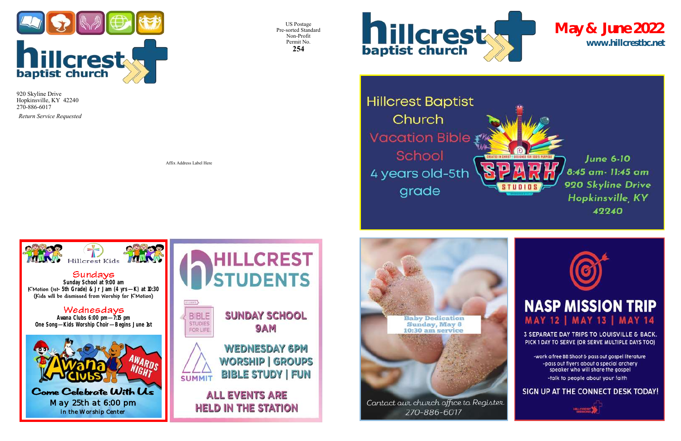US Postage Pre-sorted Standard Non-Profit Permit No. **254**



**Hillcrest Baptist** Church **Vacation Bible** School 4 years old-5th grade



270-886-6017

Affix Address Label Here



## Sundays

*Return Service Requested*



920 Skyline Drive Hopkinsville, KY 42240 270-886-6017

**www.hillcrestbc.net May & June 2022**





## **NASP MISSION TRIP MAY 12 | MAY 13 | MAY 14**

3 SEPARATE DAY TRIPS TO LOUISVILLE & BACK. PICK 1 DAY TO SERVE (OR SERVE MULTIPLE DAYS TOO)

-work a free BB Shoot & pass out gospel literature -pass out flyers about a special archery speaker who will share the gospel -talk to people about your faith

SIGN UP AT THE CONNECT DESK TODAY!



**Sunday School at 9:00 am K'Motion (1st-5th Grade) & Jr Jam (4 yrs—K) at 10:30 (Kids will be dismissed from Worship for K'Motion)**

### Wednesdays

**Awana Clubs 6:00 pm—7:15 pm One Song—Kids Worship Choir—Begins June 1st**



*May 25th at 6:00 pm in the Worship Center*